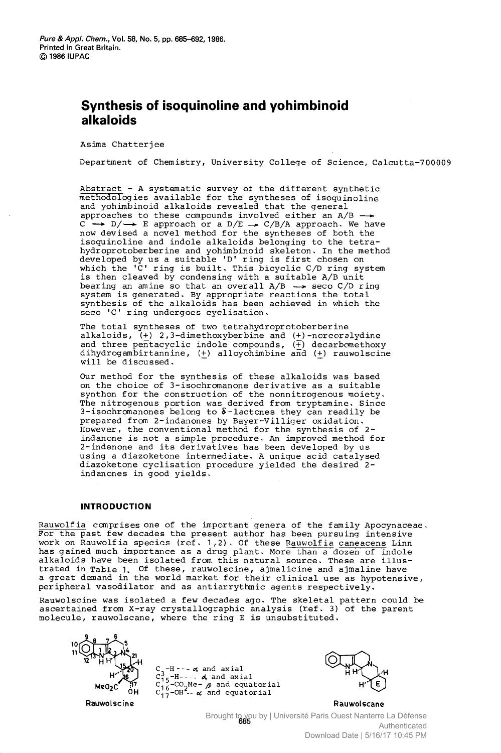## Synthesis of isoquinoline and yohimbinoid alkaloids

Asima Chatterjee

Department of Chemistry, University College of Science, Calcutta-700009

Abstract - <sup>A</sup> systematic survey of the different synthetic methodologies available for the syntheses of isoquinoline and yohimbinoid alkaloids revealed that the general<br>approaches to these compounds involved either an A/B  $C \rightarrow D/\rightarrow E$  approach or a D/E  $\rightarrow C/B/A$  approach. We have now devised a novel method for the syntheses of both the isoquinoline and indole alkaloids belonging to the tetra hydroprotoberberine and yohimbinoid skeleton. In the method developed by us a suitable 'D' ring is first chosen on which the 'C' ring is built. This bicyclic C/D ring system is then cleaved by condensing with a suitable A/B unit bearing an amine so that an overall  $A/B \rightarrow$  seco  $C/D$  ring system is generated. By appropriate reactions the total synthesis of the alkaloids has been achieved in which the seco 'C' ring undergoes cyclisation.

The total syntheses of two tetrahydroprotoberberine alkaloids, (+) 2,3-dimethoxyberbine and (+)—norcoralydine and three pentacyclic indole compounds,  $(\frac{1}{1})$  decarbomethoxy dihydrogambirtannine, (+) alloyohimbine and (+) rauwolscine will be discussed.

Our method for the synthesis of these alkaloids was based on the choice of 3-isochromanone derivative as a suitable synthon for the construction of the nonnitrogenous moiety. The nitrogenous portion was derived from tryptamine. Since 3-isochromanones belong to  $\delta$ -lactcnes they can readily be prepared from 2-indanones by Bayer-Villiger oxidation. However, the conventional method for the synthesis of 2-<br>indanone is not a simple procedure. An improved method for 2-indenone and its derivatives has been developed by us<br>using a diazoketone intermediate. A unique acid catalysed diazoketone cyclisation procedure yielded the desired 2indanones in good yields.

## **INTRODUCTION**

Rauwolfia comprises one of the important genera of the family Apocynaceae.<br>For the past few decades the present author has been pursuing intensive work on Rauwolfia species (ref. 1,2). Of these Rauwolfia caneacens Linn has gained much importance as a drug plant. More than a dozen of indole alkaloids have been isolated from this natural source. These are illustrated in Table 1. Of these, rauwolscine, ajmalicine and ajmaline have a great demand in the world market for their clinical use as hypotensive, peripheral vasodilator and as antiarrythmic agents respectively.

Rauwolscine was isolated a few decades ago. The skeletal pattern could he ascertained from X-ray crystallographic analysis (Xef. 3) of the parent molecule, rauwolscane, where the ring E is unsubstituted.

**Rauwolscine** 

 $C_3$ -H----  $\alpha$  and axial<br> $C_{15}^3$ -H----  $\alpha$  and axial  $C_{16}^{15}$ -CO<sub>2</sub>Me-  $\beta$  and equatorial  $C_{17}^{16}$ -OH<sup>-1</sup> and equatorial



Rauwoiscane Brought to you by | Université Paris Ouest Nanterre La Défense<br>Authorisated Authenticated Download Date | 5/16/17 10:45 PM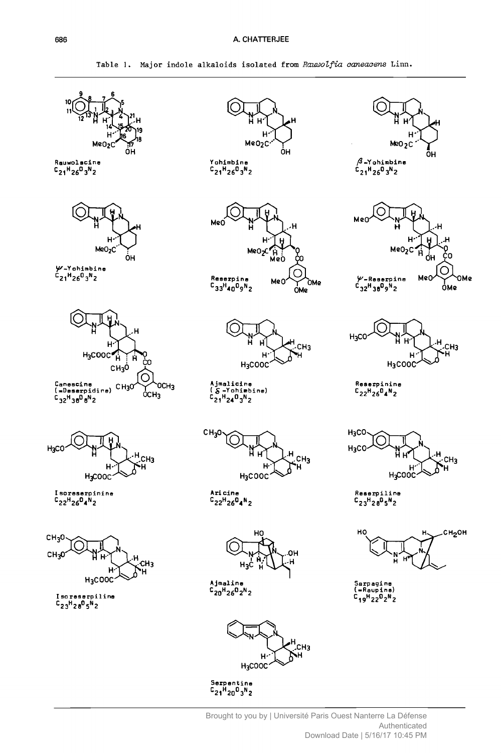Table 1. Major indole alkaloids isolated from Rauwolfia caneacens Linn.



Serpentine<br>C<sub>21</sub>H<sub>20</sub>O<sub>3</sub>N<sub>2</sub>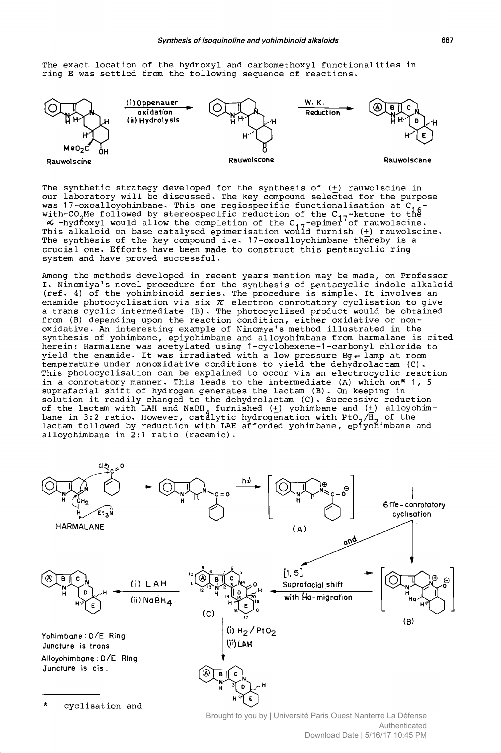The exact location of the hydroxyl and carbomethoxyl functionalities in ring E was settled from the following sequence of reactions.



The synthetic strategy developed for the synthesis of (+) rauwolscine in our laboratory will be discussed. The key compound selected for the purpose was 17-oxoalloyohimbane. This one regiospecific functionalisation at C<sub>16</sub>-<br>with-CO<sub>2</sub>Me followed by stereospecific reduction of the C<sub>17</sub>-ketone to the<br>G -hydroxyl would allow the completion of the C<sub>17</sub>-epimer of rauwol This alkaloid on base catalysed epimerisation would furnish (+) rauwolscine. The synthesis of the key compound i.e. 17-oxoalloyohimbane thereby is a crucial one. Efforts have been made to construct this pentacyclic ring system and have proved successful.

Among the methods developed in recent years mention may be made, on Professor I. Ninomiya's novel procedure for the synthesis of pentacyclic indole alkaloid (ref. 4) of the yohimbinoid series. The procedure is simple. It involves an enamide photocyclisation via six  $\pi$  electron conrotatory cyclisation to give a trans cyclic intermediate (B). The photocyclised product would be obtained from (B) depending upon the reaction condition, either oxidative or nonoxidative. An interesting example of Ninomya's method illustrated in the synthesis of yohimbane, epiyohimbane and alloyohimbane from harmalane is cited herein: Harmalane was acetylated using 1-cyclohexene-1-carbonyl chloride to yield the enamide. It was irradiated with a low pressure Hg- lamp at room temperature under nonoxidative conditions to yield the dehydrolactam (C). This photocyclisation can be explained to occur via an electrocyclic reaction in a conrotatory manner. This leads to the intermediate (A) which on\* 1, 5 suprafacial shift of hydrogen generates the lactam (B). On keeping in solution it readily changed to the dehydrolactam (C). Successive reduction of the lactam with LAH and NaBH, furnished (+) yohimbane and (+) alloyohim $\cdot$ bane in 3:2 ratio. However, catalytic hydrogenation with PtO<sub>2</sub>/H<sub>2</sub> of th lactam followed by reduction with LAH afforded yohimbane, eplyoflimbane and alloyohimbane in 2:1 ratio (racemic).

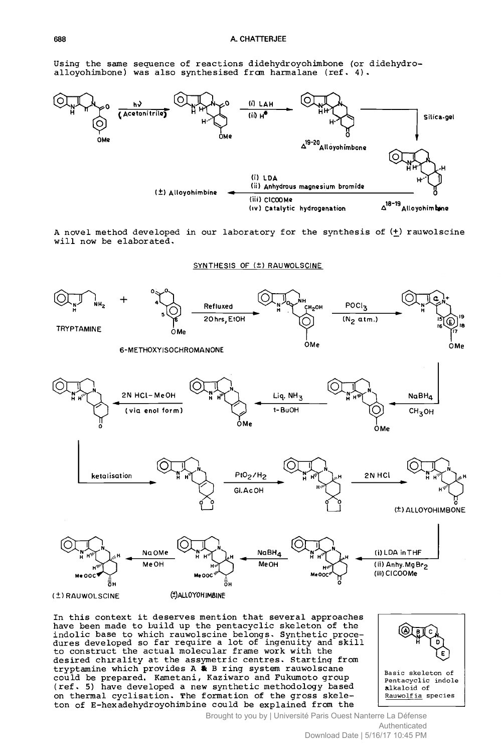Using the same sequence of reactions didehydroyohimbone (or didehydroallovohimbone) was also synthesised from harmalane (ref. 4).



A novel method developed in our laboratory for the synthesis of (+) rauwolscine will now be elaborated.

SYNTHESIS OF (±) RAUWOLSCINE



In this context it deserves mention that several approaches have been made to build up the pentacyclic skeleton of the indolic base to which rauwolscine belongs. Synthetic procedures developed so far require a lot of ingenuity and skill to construct the actual molecular frame work with the desired chirality at the assymetric centres. Starting from tryptamine which provides A & B ring system rauwolscane<br>could be prepared. Kametani, Kaziwaro and Fukumoto group (ref. 5) have developed a new synthetic methodology based on thermal cyclisation. The formation of the gross skeleton of E-hexadehydroyohimbine could be explained from the



alkaloid of Rauwolfia species

Brought to you by | Université Paris Ouest Nanterre La Défense Authenticated Download Date | 5/16/17 10:45 PM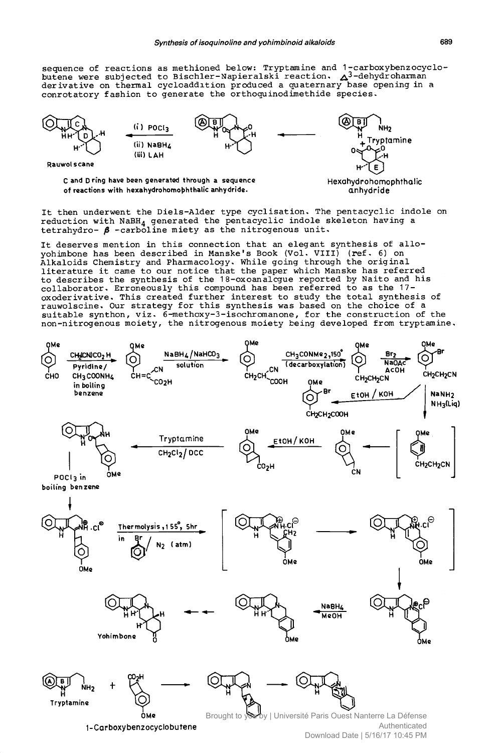sequence of reactions as methioned below: Tryptamine and 1-carboxybenzocyclobutene were subjected to Bischler-Napieralski reaction. A<sup>3-</sup>dehydroharman<br>derivative on thermal cycloaddition produced a quaternary base opening in a conrotatory fashion to generate the orthoquinodimethide species.



C and D ring have been generated through a sequence of reactions with hexahydrohomophthalic anhydride.

Hexahydrohomophthalic anhydride

It then underwent the Diels-Alder type cyclisation. The pentacyclic indole on reduction with NaBH<sub>4</sub> generated the pentacyclic indole skeleton having a tetrahydro-  $\beta$  -carboline miety as the nitrogenous unit.

It deserves mention in this connection that an elegant synthesis of alloyohimbone has been described in Manske's Book (Vol. VIII) (ref. 6) on Alkaloids Chemistry and Pharmacology. While going through the original literature it came to our notice that the paper which Manske has referred to describes the synthesis of the 18-oxoanalcgue reported by Naito and his collaborator. Erroneously this compound has been referred to as the 17oxoderivative. This created further interest to study the total synthesis of rauwolscine. Our strategy for this synthesis was based on the choice of a suitable synthon, viz. 6-methoxy-3-isochromanone, for the construction of the non-nitrogenous moiety, the nitrogenous moiety being developed from tryptamine.

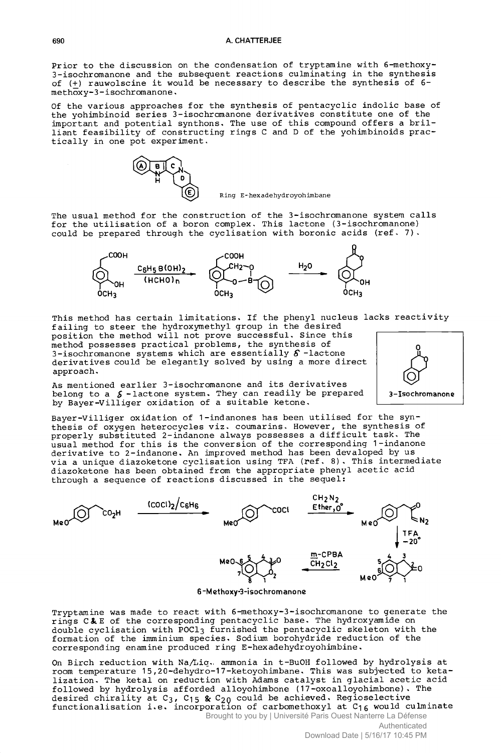Prior to the discussion on the condensation of tryptamine with 6—methoxy-3-isochromanone and the subsequent reactions culminating in the synthesis of (±) rauwolscine it would be necessary to describe the synthesis of 6 methoxy-3-isochromanone

Of the various approaches for the synthesis of pentacyclic indolic base of the yohimbinoid series 3-isochromanone derivatives constitute one of the important and potential synthons. The use of this compound offers a brilliant feasibility of constructing rings C and D of the yohimbinoids practically in one pot experiment.



Ring E-hexadehydroyohimbane

The usual method for the construction of the 3-isochromanone system calls for the utilisation of a boron complex. This lactone (3-isochromanone) could be prepared through the cyclisation with boronic acids (ref. 7).



This method has certain limitations. If the phenyl nucleus lacks reactivity failing to steer the hydroxymethyl group in the desired<br>position the method will not prove successful. Since this method possesses practical problems, the synthesis of 3-isochromanone systems which are essentially  $\delta$  -lactone derivatives could be elegantly solved by using a more direc approach.

As mentioned earlier 3-isochromanone and its derivatives belong to a  $\zeta$  -lactone system. They can readily be prepared by Bayer-Villiger oxidation of a suitable ketone.

Bayer-Villiger oxidation of 1-indanones has been utilised for the synthesis of oxygen heterocycles viz. coumarins. However, the synthesis of properly substituted 2-indanone always possesses a difficult task. The usual method for this is the conversion of the corresponding 1-indanone derivative to 2-indanone. An improved method has been devaloped by us via a unique diazoketone cyclisation using TFA (ref. 8). This intermediate diazoketone has been obtained from the appropriate phenyl acetic acid through a sequence of reactions discussed in the sequel:



6 -M ethoxy-3-isoc brom ano ne

Tryptamine was made to react with 6—methoxy-3—isochromanone to generate the rings C&E of the corresponding pentacyclic base. The hydroxyamide on<br>his political function the contextal a higher pitcher with double cyclisation with POC13 furnished the pentacyclic skeleton with the formation of the imminium species. Sodium borohydride reduction of the corresponding enamine produced ring E-hexadehydroyohimbine.

On Birch reduction with Na/Liq. ammonia in t-BuOH followed by hydrolysis at room temperature 15,20-dehydro-17-ketoyohimbane. This was subjected to ketalization. The ketal on reduction with Adams catalyst in glacial acetic acid followed by hydrolysis afforded alloyohimbone (17-oxoalloyohimbone). The desired chirality at C<sub>3</sub>, C<sub>15</sub> & C<sub>20</sub> could be achieved. Regioselective functionalisation i.e. incorporation of carbomethoxyl at C<sub>16</sub> would culminate Brought to you by | Université Paris Ouest Nanterre La Défense

3—Iso chromanon e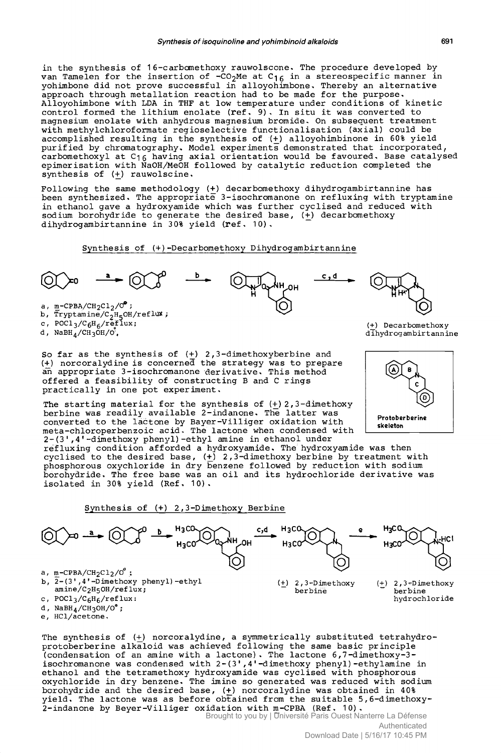in the synthesis of 16-carbomethoxy rauwolscone. The procedure developed by van Tamelen for the insertion of  $-CO_2$ Me at  $C_{16}$  in a stereospecific manner in yohimbone did not prove successful in alloyohimbone. Thereby an alternative approach through metallation reaction had to be made for the purpose. Alloyohimbone with LDA in THF at low temperature under conditions of kinetic control formed the lithium enolate ( $ref, 9)$ . In situ it was converted to magnesium enolate with anhydrous magnesium bromide. On subsequent treatment with methylchloroformate regioselective functionalisation (axial) could be accomplished resulting in the synthesis of (+) alloyohimbinone in 60% yield purified by chromatography. Model experiments demonstrated that incorporated, carbomethoxyl at  $C_{16}$  having axial orientation would be favoured. Base catalysed epimerisation with NaOH/MeOH followed by catalytic reduction completed the synthesis of (+) rauwolscine.

Following the same methodology (+) decarbomethoxy dihydrogambirtannine has been synthesized. The appropriate 3-isochromanone on ref luxing with tryptamine in ethanol gave a hydroxyamide which was further cyclised and reduced with sodium borohydride to generate the desired base,  $(\frac{1}{r})$  decarbomethoxy dihydrogambirtannine in 30% yield (ref. 10).

Synthesis of (+)-Decarbomethoxy Dihydrogambirtannine



So far as the synthesis of  $(+)$  2,3-dimethoxyberbine and (+) norcoralydine is concerned the strategy was to prepare an appropriate 3-isochromanone 'derivative. This method offered a feasibility of constructing B and C rings practically in one pot experiment.

The starting material for the synthesis of (+) 2, 3-dimethoxy berbine was readily available 2-indanone. The latter was converted to the láctone by Bayer-Villiger oxidation with meta-chloroperbenzoic acid. The lactone when condensed with **Electron** Conductor 2-(3',4'-dimethoxy phenyl) -ethyl amine in ethanol under

refluxing condition afforded a hydroxyamide. The hydroxyamide was then cyclised to the desired base, ( $\underline{+}$ ) 2,3-dimethoxy berbine by treatment with phosphorous oxychloride in dry benzene followed by reduction with sodium borohydride. The free base was an oil and its hydrochloride derivative was isolated in 30% yield (Ref. 10).

$$
\underline{\text{Synthesis of (+) 2,3-Dimethoxy Berbine}}
$$



The synthesis of (+) norcoralydine, a symmetrically substituted tetrahydroprotoberberine alkaloid was achieved following the same basic principle (condensation of an amine with a lactone). The lactone 6,7-dimethoxy-3 isochromanone was condensed with  $2-(3', 4'$ -dimethoxy phenyl)-ethylamine in ethanol and the tetramethoxy hydroxyamide was cyclised with phosphorous oxychloride in dry benzene. The imine so generated was reduced with sodium borohydride and the desired base,  $(+)$  norcoralydine was obtained in 40% yield. The lactone was as before obtained from the suitable 5,6-dimethoxy-2-indanone by Beyer-Villiger oxidation with rn-CPBA (Ref. 10). Brought to you by | Université Paris Ouest Nanterre La Défense

Authenticated Download Date | 5/16/17 10:45 PM